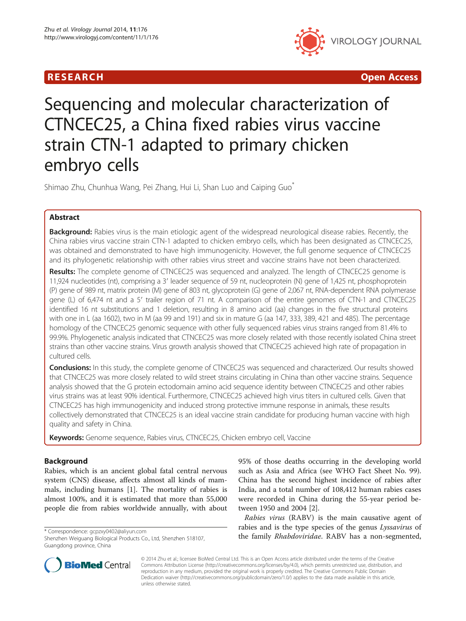

R E S EAR CH Open Access

# Sequencing and molecular characterization of CTNCEC25, a China fixed rabies virus vaccine strain CTN-1 adapted to primary chicken embryo cells

Shimao Zhu, Chunhua Wang, Pei Zhang, Hui Li, Shan Luo and Caiping Guo\*

# Abstract

Background: Rabies virus is the main etiologic agent of the widespread neurological disease rabies. Recently, the China rabies virus vaccine strain CTN-1 adapted to chicken embryo cells, which has been designated as CTNCEC25, was obtained and demonstrated to have high immunogenicity. However, the full genome sequence of CTNCEC25 and its phylogenetic relationship with other rabies virus street and vaccine strains have not been characterized.

Results: The complete genome of CTNCEC25 was sequenced and analyzed. The length of CTNCEC25 genome is 11,924 nucleotides (nt), comprising a 3′ leader sequence of 59 nt, nucleoprotein (N) gene of 1,425 nt, phosphoprotein (P) gene of 989 nt, matrix protein (M) gene of 803 nt, glycoprotein (G) gene of 2,067 nt, RNA-dependent RNA polymerase gene (L) of 6,474 nt and a 5′ trailer region of 71 nt. A comparison of the entire genomes of CTN-1 and CTNCEC25 identified 16 nt substitutions and 1 deletion, resulting in 8 amino acid (aa) changes in the five structural proteins with one in L (aa 1602), two in M (aa 99 and 191) and six in mature G (aa 147, 333, 389, 421 and 485). The percentage homology of the CTNCEC25 genomic sequence with other fully sequenced rabies virus strains ranged from 81.4% to 99.9%. Phylogenetic analysis indicated that CTNCEC25 was more closely related with those recently isolated China street strains than other vaccine strains. Virus growth analysis showed that CTNCEC25 achieved high rate of propagation in cultured cells.

**Conclusions:** In this study, the complete genome of CTNCEC25 was sequenced and characterized. Our results showed that CTNCEC25 was more closely related to wild street strains circulating in China than other vaccine strains. Sequence analysis showed that the G protein ectodomain amino acid sequence identity between CTNCEC25 and other rabies virus strains was at least 90% identical. Furthermore, CTNCEC25 achieved high virus titers in cultured cells. Given that CTNCEC25 has high immunogenicity and induced strong protective immune response in animals, these results collectively demonstrated that CTNCEC25 is an ideal vaccine strain candidate for producing human vaccine with high quality and safety in China.

Keywords: Genome sequence, Rabies virus, CTNCEC25, Chicken embryo cell, Vaccine

# Background

Rabies, which is an ancient global fatal central nervous system (CNS) disease, affects almost all kinds of mammals, including humans [[1](#page-10-0)]. The mortality of rabies is almost 100%, and it is estimated that more than 55,000 people die from rabies worldwide annually, with about

95% of those deaths occurring in the developing world such as Asia and Africa (see WHO Fact Sheet No. 99). China has the second highest incidence of rabies after India, and a total number of 108,412 human rabies cases were recorded in China during the 55-year period between 1950 and 2004 [\[2](#page-10-0)].

Rabies virus (RABV) is the main causative agent of rabies and is the type species of the genus Lyssavirus of tables and is the type species of the genus *Lyssavirus* of<br>Shenzhen Weiguang Biological Products Co. Ltd. Shenzhen 518107. **the family** *Rhabdoviridae***. RABV has a non-segmented,** 



© 2014 Zhu et al.; licensee BioMed Central Ltd. This is an Open Access article distributed under the terms of the Creative Commons Attribution License [\(http://creativecommons.org/licenses/by/4.0\)](http://creativecommons.org/licenses/by/4.0), which permits unrestricted use, distribution, and reproduction in any medium, provided the original work is properly credited. The Creative Commons Public Domain Dedication waiver [\(http://creativecommons.org/publicdomain/zero/1.0/](http://creativecommons.org/publicdomain/zero/1.0/)) applies to the data made available in this article, unless otherwise stated.

Shenzhen Weiguang Biological Products Co., Ltd, Shenzhen 518107, Guangdong province, China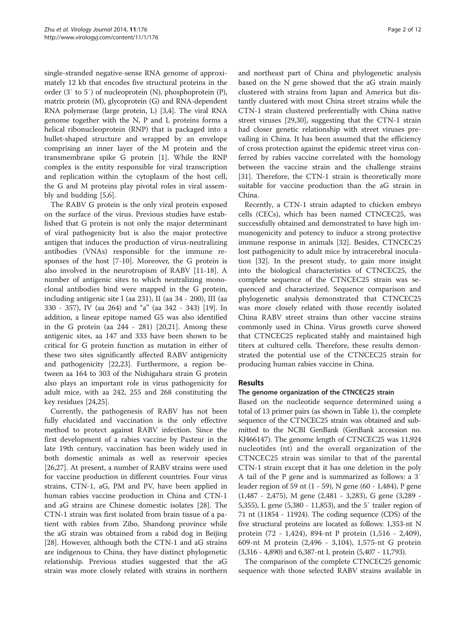single-stranded negative-sense RNA genome of approximately 12 kb that encodes five structural proteins in the order (3′ to 5′) of nucleoprotein (N), phosphoprotein (P), matrix protein (M), glycoprotein (G) and RNA-dependent RNA polymerase (large protein, L) [[3,4](#page-10-0)]. The viral RNA genome together with the N, P and L proteins forms a helical ribonucleoprotein (RNP) that is packaged into a bullet-shaped structure and wrapped by an envelope comprising an inner layer of the M protein and the transmembrane spike G protein [[1\]](#page-10-0). While the RNP complex is the entity responsible for viral transcription and replication within the cytoplasm of the host cell, the G and M proteins play pivotal roles in viral assembly and budding [[5,6\]](#page-10-0).

The RABV G protein is the only viral protein exposed on the surface of the virus. Previous studies have established that G protein is not only the major determinant of viral pathogenicity but is also the major protective antigen that induces the production of virus-neutralizing antibodies (VNAs) responsible for the immune responses of the host [\[7](#page-10-0)-[10\]](#page-10-0). Moreover, the G protein is also involved in the neurotropism of RABV [[11-18\]](#page-10-0). A number of antigenic sites to which neutralizing monoclonal antibodies bind were mapped in the G protein, including antigenic site I (aa 231), II (aa 34 - 200), III (aa 330 - 357), IV (aa 264) and "a" (aa 342 - 343) [[19](#page-10-0)]. In addition, a linear epitope named G5 was also identified in the G protein (aa 244 - 281) [[20,21\]](#page-10-0). Among these antigenic sites, aa 147 and 333 have been shown to be critical for G protein function as mutation in either of these two sites significantly affected RABV antigenicity and pathogenicity [[22,23\]](#page-10-0). Furthermore, a region between aa 164 to 303 of the Nishigahara strain G protein also plays an important role in virus pathogenicity for adult mice, with aa 242, 255 and 268 constituting the key residues [[24](#page-10-0),[25](#page-10-0)].

Currently, the pathogenesis of RABV has not been fully elucidated and vaccination is the only effective method to protect against RABV infection. Since the first development of a rabies vaccine by Pasteur in the late 19th century, vaccination has been widely used in both domestic animals as well as reservoir species [[26,27\]](#page-10-0). At present, a number of RABV strains were used for vaccine production in different countries. Four virus strains, CTN-1, aG, PM and PV, have been applied in human rabies vaccine production in China and CTN-1 and aG strains are Chinese domestic isolates [[28\]](#page-10-0). The CTN-1 strain was first isolated from brain tissue of a patient with rabies from Zibo, Shandong province while the aG strain was obtained from a rabid dog in Beijing [[28\]](#page-10-0). However, although both the CTN-1 and aG strains are indigenous to China, they have distinct phylogenetic relationship. Previous studies suggested that the aG strain was more closely related with strains in northern

and northeast part of China and phylogenetic analysis based on the N gene showed that the aG strain mainly clustered with strains from Japan and America but distantly clustered with most China street strains while the CTN-1 strain clustered preferentially with China native street viruses [[29,30\]](#page-10-0), suggesting that the CTN-1 strain had closer genetic relationship with street viruses prevailing in China. It has been assumed that the efficiency of cross protection against the epidemic street virus conferred by rabies vaccine correlated with the homology between the vaccine strain and the challenge strains [[31\]](#page-10-0). Therefore, the CTN-1 strain is theoretically more suitable for vaccine production than the aG strain in China.

Recently, a CTN-1 strain adapted to chicken embryo cells (CECs), which has been named CTNCEC25, was successfully obtained and demonstrated to have high immunogenicity and potency to induce a strong protective immune response in animals [\[32](#page-10-0)]. Besides, CTNCEC25 lost pathogenicity to adult mice by intracerebral inoculation [[32](#page-10-0)]. In the present study, to gain more insight into the biological characteristics of CTNCEC25, the complete sequence of the CTNCEC25 strain was sequenced and characterized. Sequence comparison and phylogenetic analysis demonstrated that CTNCEC25 was more closely related with those recently isolated China RABV street strains than other vaccine strains commonly used in China. Virus growth curve showed that CTNCEC25 replicated stably and maintained high titers at cultured cells. Therefore, these results demonstrated the potential use of the CTNCEC25 strain for producing human rabies vaccine in China.

# Results

# The genome organization of the CTNCEC25 strain

Based on the nucleotide sequence determined using a total of 13 primer pairs (as shown in Table [1](#page-2-0)), the complete sequence of the CTNCEC25 strain was obtained and submitted to the NCBI GenBank (GenBank accession no. KJ466147). The genome length of CTNCEC25 was 11,924 nucleotides (nt) and the overall organization of the CTNCEC25 strain was similar to that of the parental CTN-1 strain except that it has one deletion in the poly A tail of the P gene and is summarized as follows: a 3′ leader region of 59 nt (1 - 59), N gene (60 - 1,484), P gene (1,487 - 2,475), M gene (2,481 - 3,283), G gene (3,289 - 5,355), L gene (5,380 - 11,853), and the 5′ trailer region of 71 nt (11854 - 11924). The coding sequence (CDS) of the five structural proteins are located as follows: 1,353-nt N protein (72 - 1,424), 894-nt P protein (1,516 - 2,409), 609-nt M protein (2,496 - 3,104), 1,575-nt G protein (3,316 - 4,890) and 6,387-nt L protein (5,407 - 11,793).

The comparison of the complete CTNCEC25 genomic sequence with those selected RABV strains available in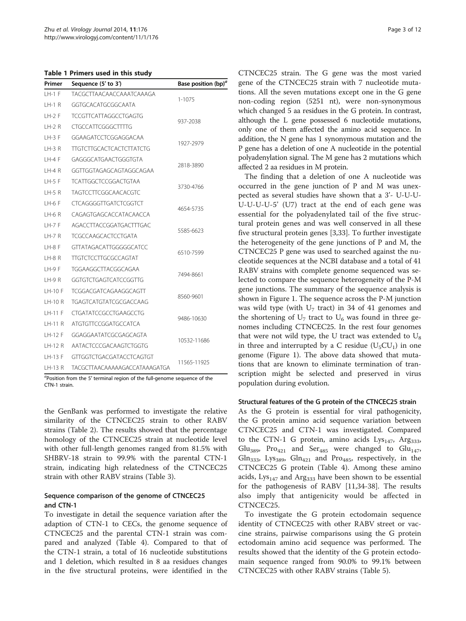<span id="page-2-0"></span>Table 1 Primers used in this study

| Primer        | Sequence (5' to 3')             | Base position $(bp)^{a}$ |  |
|---------------|---------------------------------|--------------------------|--|
| $LH-1$ F      | TACGCTTAACAACCAAATCAAAGA        | $1 - 1075$               |  |
| LH-1 R        | GGTGCACATGCGGCAATA              |                          |  |
| $LH-2F$       | <b>TCCGTTCATTAGGCCTGAGTG</b>    | 937-2038                 |  |
| $H-2R$        | CTGCCATTCGGGCTTTG               |                          |  |
| $H - 3F$      | GGAAGATCCTCGGAGGACAA            | 1927-2979                |  |
| $LH-3R$       | <b>TIGTCTTGCACTCACTCTTATCTG</b> |                          |  |
| $LH-4F$       | GAGGGCATGAACTGGGTGTA            | 2818-3890                |  |
| $LH-4R$       | GGTTGGTAGAGCAGTAGGCAGAA         |                          |  |
| LH-5 F        | <b>TCATTGGCTCCGGACTGTAA</b>     | 3730-4766                |  |
| $LH-5R$       | <b>TAGTCCTTCGGCAACACGTC</b>     |                          |  |
| $LH-6F$       | <b>CTCAGGGGTTGATCTCGGTCT</b>    | 4654-5735                |  |
| LH-6 R        | CAGAGTGAGCACCATACAACCA          |                          |  |
| $H - 7F$      | AGACCTTACCGGATGACTTTGAC         | 5585-6623                |  |
| 1 H-7 R       | <b>TCGCCAAGCACTCCTGATA</b>      |                          |  |
| LH-8F         | GTTATAGACATTGGGGGCATCC          | 6510-7599                |  |
| $LH-8R$       | <b>TTGTCTCCTTGCGCCAGTAT</b>     |                          |  |
| $LH-9F$       | TGGAAGGCTTACGGCAGAA             |                          |  |
| <b>LH-9 R</b> | GGTGTCTGAGTCATCCGGTTG           | 7494-8661                |  |
| LH-10 F       | TCGGACGATCAGAAGGCAGTT           | 8560-9601                |  |
| LH-10 R       | TGAGTCATGTATCGCGACCAAG          |                          |  |
| LH-11 F       | <b>CTGATATCCGCCTGAAGCCTG</b>    | 9486-10630               |  |
| IH-11 R       | <b>ATGTGTTCCGGATGCCATCA</b>     |                          |  |
| LH-12 F       | GGAGGAATATCGCGAGCAGTA           | 10532-11686              |  |
| $LH-12 R$     | AATACTCCCGACAAGTCTGGTG          |                          |  |
| LH-13 F       | <b>GTTGGTCTGACGATACCTCAGTGT</b> | 11565-11925              |  |
| LH-13 R       | TACGCTTAACAAAAAGACCATAAAGATGA   |                          |  |

 ${}^a$ Position from the 5' terminal region of the full-genome sequence of the CTN-1 strain.

the GenBank was performed to investigate the relative similarity of the CTNCEC25 strain to other RABV strains (Table [2\)](#page-3-0). The results showed that the percentage homology of the CTNCEC25 strain at nucleotide level with other full-length genomes ranged from 81.5% with SHBRV-18 strain to 99.9% with the parental CTN-1 strain, indicating high relatedness of the CTNCEC25 strain with other RABV strains (Table [3](#page-4-0)).

# Sequence comparison of the genome of CTNCEC25 and CTN-1

To investigate in detail the sequence variation after the adaption of CTN-1 to CECs, the genome sequence of CTNCEC25 and the parental CTN-1 strain was compared and analyzed (Table [4](#page-4-0)). Compared to that of the CTN-1 strain, a total of 16 nucleotide substitutions and 1 deletion, which resulted in 8 aa residues changes in the five structural proteins, were identified in the

CTNCEC25 strain. The G gene was the most varied gene of the CTNCEC25 strain with 7 nucleotide mutations. All the seven mutations except one in the G gene non-coding region (5251 nt), were non-synonymous which changed 5 aa residues in the G protein. In contrast, although the L gene possessed 6 nucleotide mutations, only one of them affected the amino acid sequence. In addition, the N gene has 1 synonymous mutation and the P gene has a deletion of one A nucleotide in the potential polyadenylation signal. The M gene has 2 mutations which affected 2 aa residues in M protein.

The finding that a deletion of one A nucleotide was occurred in the gene junction of P and M was unexpected as several studies have shown that a 3'- U-U-U-U-U-U-U-5' (U7) tract at the end of each gene was essential for the polyadenylated tail of the five structural protein genes and was well conserved in all these five structural protein genes [\[3,33\]](#page-10-0). To further investigate the heterogeneity of the gene junctions of P and M, the CTNCEC25 P gene was used to searched against the nucleotide sequences at the NCBI database and a total of 41 RABV strains with complete genome sequenced was selected to compare the sequence heterogeneity of the P-M gene junctions. The summary of the sequence analysis is shown in Figure [1.](#page-5-0) The sequence across the P-M junction was wild type (with  $U_7$  tract) in 34 of 41 genomes and the shortening of  $U_7$  tract to  $U_6$  was found in three genomes including CTNCEC25. In the rest four genomes that were not wild type, the U tract was extended to  $U_8$ in three and interrupted by a C residue  $(U<sub>5</sub>CU<sub>1</sub>)$  in one genome (Figure [1](#page-5-0)). The above data showed that mutations that are known to eliminate termination of transcription might be selected and preserved in virus population during evolution.

#### Structural features of the G protein of the CTNCEC25 strain

As the G protein is essential for viral pathogenicity, the G protein amino acid sequence variation between CTNCEC25 and CTN-1 was investigated. Compared to the CTN-1 G protein, amino acids  $Lys<sub>147</sub>$ , Arg<sub>333</sub>, Glu<sub>389</sub>, Pro<sub>421</sub> and Ser<sub>485</sub> were changed to Glu<sub>147</sub>, Gln<sub>333</sub>, Lys<sub>389</sub>, Gln<sub>421</sub> and Pro<sub>485</sub>, respectively, in the CTNCEC25 G protein (Table [4](#page-4-0)). Among these amino acids,  $Lys_{147}$  and Arg<sub>333</sub> have been shown to be essential for the pathogenesis of RABV [[11,34-38\]](#page-10-0). The results also imply that antigenicity would be affected in CTNCEC25.

To investigate the G protein ectodomain sequence identity of CTNCEC25 with other RABV street or vaccine strains, pairwise comparisons using the G protein ectodomain amino acid sequence was performed. The results showed that the identity of the G protein ectodomain sequence ranged from 90.0% to 99.1% between CTNCEC25 with other RABV strains (Table [5\)](#page-5-0).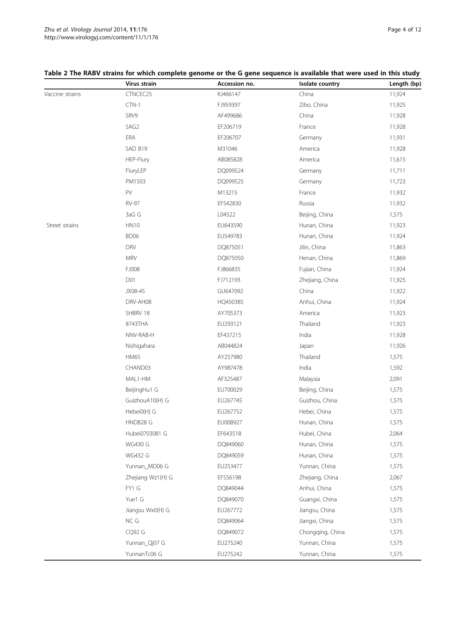|                 | Virus strain      | Accession no. | Isolate country  | Length (bp) |
|-----------------|-------------------|---------------|------------------|-------------|
| Vaccine strains | CTNCEC25          | KJ466147      | China            | 11,924      |
|                 | $CTN-1$           | FJ959397      | Zibo, China      | 11,925      |
|                 | SRV9              | AF499686      | China            | 11,928      |
|                 | SAG2              | EF206719      | France           | 11,928      |
|                 | ERA               | EF206707      | Germany          | 11,931      |
|                 | SAD B19           | M31046        | America          | 11,928      |
|                 | HEP-Flury         | AB085828      | America          | 11,615      |
|                 | FluryLEP          | DQ099524      | Germany          | 11,711      |
|                 | PM1503            | DQ099525      | Germany          | 11,723      |
|                 | PV                | M13215        | France           | 11,932      |
|                 | <b>RV-97</b>      | EF542830      | Russia           | 11,932      |
|                 | 3aG G             | L04522        | Beijing, China   | 1,575       |
| Street strains  | <b>HN10</b>       | EU643590      | Hunan, China     | 11,923      |
|                 | BD06              | EU549783      | Hunan, China     | 11,924      |
|                 | <b>DRV</b>        | DQ875051      | Jilin, China     | 11,863      |
|                 | <b>MRV</b>        | DQ875050      | Henan, China     | 11,869      |
|                 | FJ008             | FJ866835      | Fujian, China    | 11,924      |
|                 | D01               | FJ712193      | Zhejiang, China  | 11,925      |
|                 | JX08-45           | GU647092      | China            | 11,922      |
|                 | DRV-AH08          | HQ450385      | Anhui, China     | 11,924      |
|                 | SHBRV 18          | AY705373      | America          | 11,923      |
|                 | 8743THA           | EU293121      | Thailand         | 11,923      |
|                 | NNV-RAB-H         | EF437215      | India            | 11,928      |
|                 | Nishigahara       | AB044824      | Japan            | 11,926      |
|                 | <b>HM65</b>       | AY257980      | Thailand         | 1,575       |
|                 | CHAND03           | AY987478      | India            | 1,592       |
|                 | MAL1-HM           | AF325487      | Malaysia         | 2,091       |
|                 | BeijingHu1 G      | EU700029      | Beijing, China   | 1,575       |
|                 | GuizhouA10(H) G   | EU267745      | Guizhou, China   | 1,575       |
|                 | Hebei0(H) G       | EU267752      | Hebei, China     | 1,575       |
|                 | HNDB28 G          | EU008927      | Hunan, China     | 1,575       |
|                 | Hubei0703081 G    | EF643518      | Hubei, China     | 2,064       |
|                 | <b>WG430 G</b>    | DQ849060      | Hunan, China     | 1,575       |
|                 | <b>WG432 G</b>    | DQ849059      | Hunan, China     | 1,575       |
|                 | Yunnan_MD06 G     | EU253477      | Yunnan, China    | 1,575       |
|                 | Zhejiang Wz1(H) G | EF556198      | Zhejiang, China  | 2,067       |
|                 | FY1 G             | DQ849044      | Anhui, China     | 1,575       |
|                 | Yue1 G            | DQ849070      | Guangxi, China   | 1,575       |
|                 | Jiangsu Wx0(H) G  | EU267772      | Jiangsu, China   | 1,575       |
|                 | NC G              | DQ849064      | Jiangxi, China   | 1,575       |
|                 | CQ92 G            | DQ849072      | Chongqing, China | 1,575       |
|                 | Yunnan_Qj07 G     | EU275240      | Yunnan, China    | 1,575       |
|                 | YunnanTc06 G      | EU275242      | Yunnan, China    | 1,575       |

# <span id="page-3-0"></span>Table 2 The RABV strains for which complete genome or the G gene sequence is available that were used in this study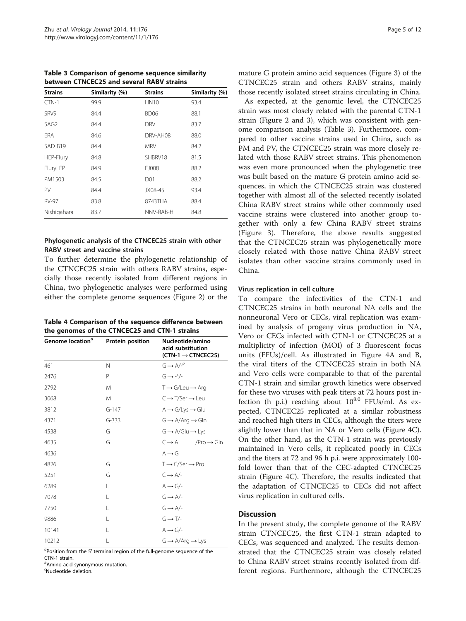<span id="page-4-0"></span>Table 3 Comparison of genome sequence similarity between CTNCEC25 and several RABV strains

| <b>Strains</b>   | Similarity (%) | <b>Strains</b> | Similarity (%) |
|------------------|----------------|----------------|----------------|
| $CTN-1$          | 99.9           | <b>HN10</b>    | 93.4           |
| SRV9             | 84.4           | BD06           | 88.1           |
| SAG <sub>2</sub> | 84.4           | <b>DRV</b>     | 83.7           |
| <b>ERA</b>       | 84.6           | DRV-AH08       | 88.0           |
| SAD B19          | 84.4           | <b>MRV</b>     | 84.2           |
| HEP-Flury        | 84.8           | SHBRV18        | 81.5           |
| FluryLEP         | 84.9           | FJ008          | 88.2           |
| PM1503           | 84.5           | D01            | 88.2           |
| PV               | 84.4           | JX08-45        | 93.4           |
| <b>RV-97</b>     | 83.8           | 8743THA        | 88.4           |
| Nishigahara      | 83.7           | NNV-RAB-H      | 84.8           |
|                  |                |                |                |

# Phylogenetic analysis of the CTNCEC25 strain with other RABV street and vaccine strains

To further determine the phylogenetic relationship of the CTNCEC25 strain with others RABV strains, especially those recently isolated from different regions in China, two phylogenetic analyses were performed using either the complete genome sequences (Figure [2\)](#page-6-0) or the

| Table 4 Comparison of the sequence difference between |
|-------------------------------------------------------|
| the genomes of the CTNCEC25 and CTN-1 strains         |

| Genome location <sup>a</sup> | Protein position | Nucleotide/amino<br>acid substitution<br>$(CTN-1 \rightarrow CTNCEC25)$ |
|------------------------------|------------------|-------------------------------------------------------------------------|
| 461                          | N                | $G \rightarrow A/-^b$                                                   |
| 2476                         | Ρ                | $G \rightarrow -\frac{c}{2}$                                            |
| 2792                         | M                | $T \rightarrow G/Leu \rightarrow Arq$                                   |
| 3068                         | M                | $C \rightarrow T/Ser \rightarrow Lev$                                   |
| 3812                         | $G-147$          | $A \rightarrow G/Lys \rightarrow Glu$                                   |
| 4371                         | $G-333$          | $G \rightarrow A/Arg \rightarrow GIn$                                   |
| 4538                         | G                | $G \rightarrow A/Glu \rightarrow Lys$                                   |
| 4635                         | G                | $C \rightarrow A$<br>$/Pro \rightarrow GIn$                             |
| 4636                         |                  | $A \rightarrow G$                                                       |
| 4826                         | G                | $T \rightarrow C/Ser \rightarrow Pro$                                   |
| 5251                         | G                | $C \rightarrow A/-$                                                     |
| 6289                         | L                | $A \rightarrow G/-$                                                     |
| 7078                         | L                | $G \rightarrow A/-$                                                     |
| 7750                         | L                | $G \rightarrow A/-$                                                     |
| 9886                         | L                | $G \rightarrow T/-$                                                     |
| 10141                        | L                | $A \rightarrow G/-$                                                     |
| 10212                        | L                | $G \rightarrow A/Arg \rightarrow Lys$                                   |

α Position from the 5′ terminal region of the full-genome sequence of the CTN-1 strain.

 $^o$ Amino acid synonymous mutation.

c Nucleotide deletion.

mature G protein amino acid sequences (Figure [3\)](#page-7-0) of the CTNCEC25 strain and others RABV strains, mainly those recently isolated street strains circulating in China.

As expected, at the genomic level, the CTNCEC25 strain was most closely related with the parental CTN-1 strain (Figure [2](#page-6-0) and [3](#page-7-0)), which was consistent with genome comparison analysis (Table 3). Furthermore, compared to other vaccine strains used in China, such as PM and PV, the CTNCEC25 strain was more closely related with those RABV street strains. This phenomenon was even more pronounced when the phylogenetic tree was built based on the mature G protein amino acid sequences, in which the CTNCEC25 strain was clustered together with almost all of the selected recently isolated China RABV street strains while other commonly used vaccine strains were clustered into another group together with only a few China RABV street strains (Figure [3\)](#page-7-0). Therefore, the above results suggested that the CTNCEC25 strain was phylogenetically more closely related with those native China RABV street isolates than other vaccine strains commonly used in China.

# Virus replication in cell culture

To compare the infectivities of the CTN-1 and CTNCEC25 strains in both neuronal NA cells and the nonneuronal Vero or CECs, viral replication was examined by analysis of progeny virus production in NA, Vero or CECs infected with CTN-1 or CTNCEC25 at a multiplicity of infection (MOI) of 3 fluorescent focus units (FFUs)/cell. As illustrated in Figure [4A](#page-8-0) and B, the viral titers of the CTNCEC25 strain in both NA and Vero cells were comparable to that of the parental CTN-1 strain and similar growth kinetics were observed for these two viruses with peak titers at 72 hours post infection (h p.i.) reaching about  $10^{8.0}$  FFUs/ml. As expected, CTNCEC25 replicated at a similar robustness and reached high titers in CECs, although the titers were slightly lower than that in NA or Vero cells (Figure [4C](#page-8-0)). On the other hand, as the CTN-1 strain was previously maintained in Vero cells, it replicated poorly in CECs and the titers at 72 and 96 h p.i. were approximately 100 fold lower than that of the CEC-adapted CTNCEC25 strain (Figure [4](#page-8-0)C). Therefore, the results indicated that the adaptation of CTNCEC25 to CECs did not affect virus replication in cultured cells.

# **Discussion**

In the present study, the complete genome of the RABV strain CTNCEC25, the first CTN-1 strain adapted to CECs, was sequenced and analyzed. The results demonstrated that the CTNCEC25 strain was closely related to China RABV street strains recently isolated from different regions. Furthermore, although the CTNCEC25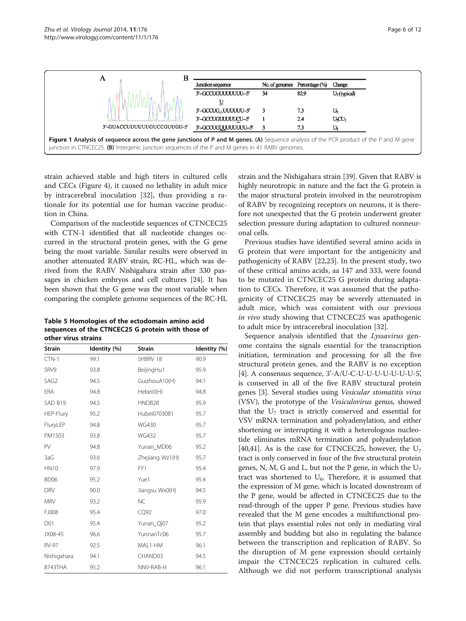<span id="page-5-0"></span>

strain achieved stable and high titers in cultured cells and CECs (Figure [4\)](#page-8-0), it caused no lethality in adult mice by intracerebral inoculation [\[32](#page-10-0)], thus providing a rationale for its potential use for human vaccine production in China.

Comparison of the nucleotide sequences of CTNCEC25 with CTN-1 identified that all nucleotide changes occurred in the structural protein genes, with the G gene being the most variable. Similar results were observed in another attenuated RABV strain, RC-HL, which was derived from the RABV Nishigahara strain after 330 passages in chicken embryos and cell cultures [[24](#page-10-0)]. It has been shown that the G gene was the most variable when comparing the complete genome sequences of the RC-HL

Table 5 Homologies of the ectodomain amino acid sequences of the CTNCEC25 G protein with those of other virus strains

| <b>Strain</b>    | Identity (%) | <b>Strain</b>   | Identity (%) |  |
|------------------|--------------|-----------------|--------------|--|
| $CTN-1$          | 99.1         | SHBRV 18        | 90.9         |  |
| SRV9             | 93.8         | BeijingHu1      | 95.9         |  |
| SAG <sub>2</sub> | 94.5         | GuizhouA10(H)   | 94.1         |  |
| <b>ERA</b>       | 94.8         | Hebei0(H)       | 94.8         |  |
| SAD B19          | 94.5         | HNDB28          | 95.9         |  |
| HEP-Flury        | 95.2         | Hubei0703081    | 95.7         |  |
| FluryLEP         | 94.8         | <b>WG430</b>    | 95.7         |  |
| PM1503           | 93.8         | <b>WG432</b>    | 95.7         |  |
| PV               | 94.8         | Yunan_MD06      | 95.2         |  |
| 3aG              | 93.6         | Zhejiang Wz1(H) | 95.7         |  |
| <b>HN10</b>      | 97.9         | FY1             | 95.4         |  |
| BD <sub>06</sub> | 95.2         | Yue1            | 95.4         |  |
| <b>DRV</b>       | 90.0         | Jiangsu Wx0(H)  | 94.5         |  |
| <b>MRV</b>       | 93.2         | <b>NC</b>       | 95.9         |  |
| FJ008            | 95.4         | CQ92            | 97.0         |  |
| D01              | 95.4         | Yunan_Qj07      | 95.2         |  |
| JX08-45          | 96.6         | YunnanTc06      | 95.7         |  |
| <b>RV-97</b>     | 92.5         | MAL1-HM         | 96.1         |  |
| Nishigahara      | 94.1         | CHAND03         | 94.5         |  |
| 8743THA          | 95.2         | NNV-RAB-H       | 96.1         |  |

strain and the Nishigahara strain [[39](#page-10-0)]. Given that RABV is highly neurotropic in nature and the fact the G protein is the major structural protein involved in the neurotropism of RABV by recognizing receptors on neurons, it is therefore not unexpected that the G protein underwent greater selection pressure during adaptation to cultured nonneuronal cells.

Previous studies have identified several amino acids in G protein that were important for the antigenicity and pathogenicity of RABV [[22](#page-10-0),[23](#page-10-0)]. In the present study, two of these critical amino acids, aa 147 and 333, were found to be mutated in CTNCEC25 G protein during adaptation to CECs. Therefore, it was assumed that the pathogenicity of CTNCEC25 may be severely attenuated in adult mice, which was consistent with our previous in vivo study showing that CTNCEC25 was apathogenic to adult mice by intracerebral inoculation [\[32](#page-10-0)].

Sequence analysis identified that the Lyssavirus genome contains the signals essential for the transcription initiation, termination and processing for all the five structural protein genes, and the RABV is no exception [[4\]](#page-10-0). A consensus sequence, 3'-A/U-C-U-U-U-U-U-U-U-5', is conserved in all of the five RABV structural protein genes [[3\]](#page-10-0). Several studies using Vesicular stomatitis virus (VSV), the prototype of the Vesiculovirus genus, showed that the  $U_7$  tract is strictly conserved and essential for VSV mRNA termination and polyadenylation, and either shortening or interrupting it with a heterologous nucleotide eliminates mRNA termination and polyadenylation [[40,41](#page-10-0)]. As is the case for CTNCEC25, however, the  $U_7$ tract is only conserved in four of the five structural protein genes, N, M, G and L, but not the P gene, in which the  $U_7$ tract was shortened to  $U_6$ . Therefore, it is assumed that the expression of M gene, which is located downstream of the P gene, would be affected in CTNCEC25 due to the read-through of the upper P gene. Previous studies have revealed that the M gene encodes a multifunctional protein that plays essential roles not only in mediating viral assembly and budding but also in regulating the balance between the transcription and replication of RABV. So the disruption of M gene expression should certainly impair the CTNCEC25 replication in cultured cells. Although we did not perform transcriptional analysis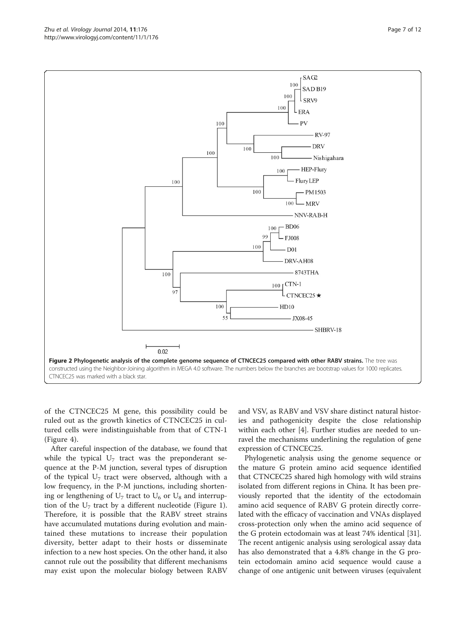of the CTNCEC25 M gene, this possibility could be ruled out as the growth kinetics of CTNCEC25 in cultured cells were indistinguishable from that of CTN-1 (Figure [4\)](#page-8-0).

After careful inspection of the database, we found that while the typical  $U_7$  tract was the preponderant sequence at the P-M junction, several types of disruption of the typical  $U_7$  tract were observed, although with a low frequency, in the P-M junctions, including shortening or lengthening of  $U_7$  tract to  $U_6$  or  $U_8$  and interruption of the  $U_7$  tract by a different nucleotide (Figure [1](#page-5-0)). Therefore, it is possible that the RABV street strains have accumulated mutations during evolution and maintained these mutations to increase their population diversity, better adapt to their hosts or disseminate infection to a new host species. On the other hand, it also cannot rule out the possibility that different mechanisms may exist upon the molecular biology between RABV

and VSV, as RABV and VSV share distinct natural histories and pathogenicity despite the close relationship within each other [\[4](#page-10-0)]. Further studies are needed to unravel the mechanisms underlining the regulation of gene expression of CTNCEC25.

Phylogenetic analysis using the genome sequence or the mature G protein amino acid sequence identified that CTNCEC25 shared high homology with wild strains isolated from different regions in China. It has been previously reported that the identity of the ectodomain amino acid sequence of RABV G protein directly correlated with the efficacy of vaccination and VNAs displayed cross-protection only when the amino acid sequence of the G protein ectodomain was at least 74% identical [\[31](#page-10-0)]. The recent antigenic analysis using serological assay data has also demonstrated that a 4.8% change in the G protein ectodomain amino acid sequence would cause a change of one antigenic unit between viruses (equivalent

<span id="page-6-0"></span>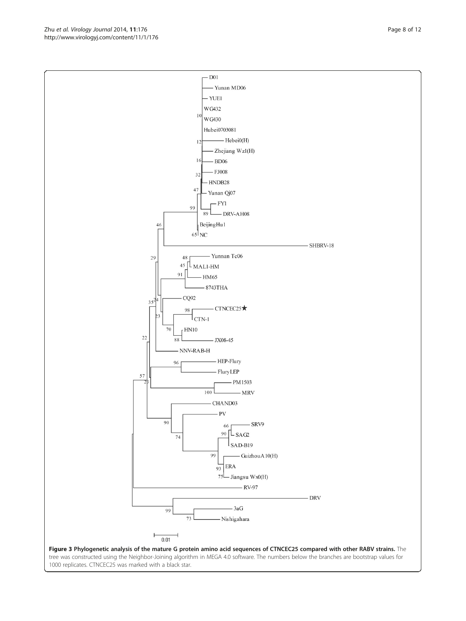<span id="page-7-0"></span>http://www.virologyj.com/content/11/1/176



1000 replicates. CTNCEC25 was marked with a black star.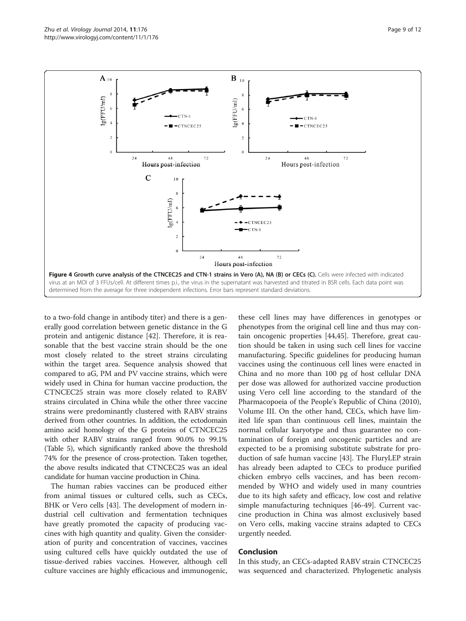<span id="page-8-0"></span>

to a two-fold change in antibody titer) and there is a generally good correlation between genetic distance in the G protein and antigenic distance [[42\]](#page-10-0). Therefore, it is reasonable that the best vaccine strain should be the one most closely related to the street strains circulating within the target area. Sequence analysis showed that compared to aG, PM and PV vaccine strains, which were widely used in China for human vaccine production, the CTNCEC25 strain was more closely related to RABV strains circulated in China while the other three vaccine strains were predominantly clustered with RABV strains derived from other countries. In addition, the ectodomain amino acid homology of the G proteins of CTNCEC25 with other RABV strains ranged from 90.0% to 99.1% (Table [5](#page-5-0)), which significantly ranked above the threshold 74% for the presence of cross-protection. Taken together, the above results indicated that CTNCEC25 was an ideal candidate for human vaccine production in China.

The human rabies vaccines can be produced either from animal tissues or cultured cells, such as CECs, BHK or Vero cells [\[43\]](#page-11-0). The development of modern industrial cell cultivation and fermentation techniques have greatly promoted the capacity of producing vaccines with high quantity and quality. Given the consideration of purity and concentration of vaccines, vaccines using cultured cells have quickly outdated the use of tissue-derived rabies vaccines. However, although cell culture vaccines are highly efficacious and immunogenic,

these cell lines may have differences in genotypes or phenotypes from the original cell line and thus may contain oncogenic properties [[44](#page-11-0),[45](#page-11-0)]. Therefore, great caution should be taken in using such cell lines for vaccine manufacturing. Specific guidelines for producing human vaccines using the continuous cell lines were enacted in China and no more than 100 pg of host cellular DNA per dose was allowed for authorized vaccine production using Vero cell line according to the standard of the Pharmacopoeia of the People's Republic of China (2010), Volume III. On the other hand, CECs, which have limited life span than continuous cell lines, maintain the normal cellular karyotype and thus guarantee no contamination of foreign and oncogenic particles and are expected to be a promising substitute substrate for production of safe human vaccine [\[43\]](#page-11-0). The FluryLEP strain has already been adapted to CECs to produce purified chicken embryo cells vaccines, and has been recommended by WHO and widely used in many countries due to its high safety and efficacy, low cost and relative simple manufacturing techniques [[46-49](#page-11-0)]. Current vaccine production in China was almost exclusively based on Vero cells, making vaccine strains adapted to CECs urgently needed.

#### Conclusion

In this study, an CECs-adapted RABV strain CTNCEC25 was sequenced and characterized. Phylogenetic analysis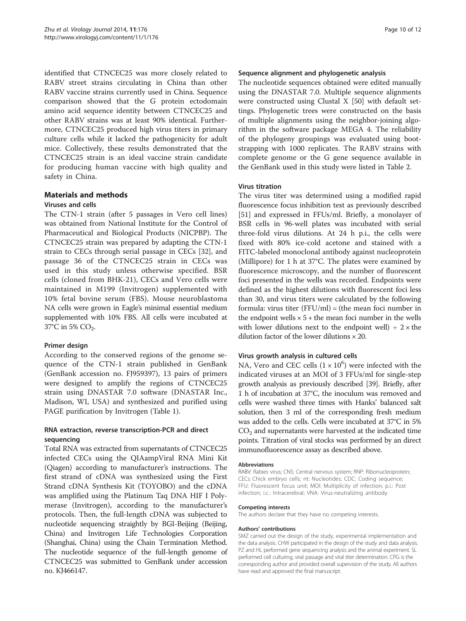identified that CTNCEC25 was more closely related to RABV street strains circulating in China than other RABV vaccine strains currently used in China. Sequence comparison showed that the G protein ectodomain amino acid sequence identity between CTNCEC25 and other RABV strains was at least 90% identical. Furthermore, CTNCEC25 produced high virus titers in primary culture cells while it lacked the pathogenicity for adult mice. Collectively, these results demonstrated that the CTNCEC25 strain is an ideal vaccine strain candidate for producing human vaccine with high quality and safety in China.

# Materials and methods

# Viruses and cells

The CTN-1 strain (after 5 passages in Vero cell lines) was obtained from National Institute for the Control of Pharmaceutical and Biological Products (NICPBP). The CTNCEC25 strain was prepared by adapting the CTN-1 strain to CECs through serial passage in CECs [[32\]](#page-10-0), and passage 36 of the CTNCEC25 strain in CECs was used in this study unless otherwise specified. BSR cells (cloned from BHK-21), CECs and Vero cells were maintained in M199 (Invitrogen) supplemented with 10% fetal bovine serum (FBS). Mouse neuroblastoma NA cells were grown in Eagle's minimal essential medium supplemented with 10% FBS. All cells were incubated at 37 $^{\circ}$ C in 5% CO<sub>2</sub>.

# Primer design

According to the conserved regions of the genome sequence of the CTN-1 strain published in GenBank (GenBank accession no. FJ959397), 13 pairs of primers were designed to amplify the regions of CTNCEC25 strain using DNASTAR 7.0 software (DNASTAR Inc., Madison, WI, USA) and synthesized and purified using PAGE purification by Invitrogen (Table [1](#page-2-0)).

# RNA extraction, reverse transcription-PCR and direct sequencing

Total RNA was extracted from supernatants of CTNCEC25 infected CECs using the QIAampViral RNA Mini Kit (Qiagen) according to manufacturer's instructions. The first strand of cDNA was synthesized using the First Strand cDNA Synthesis Kit (TOYOBO) and the cDNA was amplified using the Platinum Taq DNA HIF I Polymerase (Invitrogen), according to the manufacturer's protocols. Then, the full-length cDNA was subjected to nucleotide sequencing straightly by BGI-Beijing (Beijing, China) and Invitrogen Life Technologies Corporation (Shanghai, China) using the Chain Termination Method. The nucleotide sequence of the full-length genome of CTNCEC25 was submitted to GenBank under accession no. KJ466147.

#### Sequence alignment and phylogenetic analysis

The nucleotide sequences obtained were edited manually using the DNASTAR 7.0. Multiple sequence alignments were constructed using Clustal X [[50\]](#page-11-0) with default settings. Phylogenetic trees were constructed on the basis of multiple alignments using the neighbor-joining algorithm in the software package MEGA 4. The reliability of the phylogeny groupings was evaluated using bootstrapping with 1000 replicates. The RABV strains with complete genome or the G gene sequence available in the GenBank used in this study were listed in Table [2](#page-3-0).

#### Virus titration

The virus titer was determined using a modified rapid fluorescence focus inhibition test as previously described [[51\]](#page-11-0) and expressed in FFUs/ml. Briefly, a monolayer of BSR cells in 96-well plates was incubated with serial three-fold virus dilutions. At 24 h p.i., the cells were fixed with 80% ice-cold acetone and stained with a FITC-labeled monoclonal antibody against nucleoprotein (Millipore) for 1 h at 37°C. The plates were examined by fluorescence microscopy, and the number of fluorescent foci presented in the wells was recorded. Endpoints were defined as the highest dilutions with fluorescent foci less than 30, and virus titers were calculated by the following formula: virus titer  $(FFU/ml) = (the mean foci number in$ the endpoint wells  $\times$  5 + the mean foci number in the wells with lower dilutions next to the endpoint well)  $\div$  2  $\times$  the dilution factor of the lower dilutions  $\times$  20.

#### Virus growth analysis in cultured cells

NA, Vero and CEC cells  $(1 \times 10^6)$  were infected with the indicated viruses at an MOI of 3 FFUs/ml for single-step growth analysis as previously described [\[39\]](#page-10-0). Briefly, after 1 h of incubation at 37°C, the inoculum was removed and cells were washed three times with Hanks' balanced salt solution, then 3 ml of the corresponding fresh medium was added to the cells. Cells were incubated at 37°C in 5% CO2 and supernatants were harvested at the indicated time points. Titration of viral stocks was performed by an direct immunofluorescence assay as described above.

#### Abbreviations

RABV: Rabies virus; CNS: Central nervous system; RNP: Ribonucleoprotein; CECs: Chick embryo cells; nt: Nucleotides; CDC: Coding sequence; FFU: Fluorescent focus unit; MOI: Multiplicity of infection; p.i.: Post infection; i.c.: Intracerebral; VNA: Virus-neutralizing antibody.

#### Competing interests

The authors declare that they have no competing interests.

#### Authors' contributions

SMZ carried out the design of the study, experimental implementation and the data analysis. CHW participated in the design of the study and data analysis. PZ and HL performed gene sequencing analysis and the animal experiment. SL performed cell culturing, viral passage and viral titer determination. CPG is the corresponding author and provided overall supervision of the study. All authors have read and approved the final manuscript.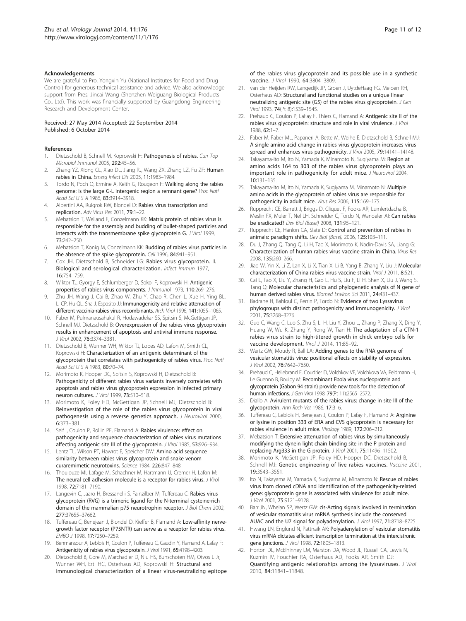#### <span id="page-10-0"></span>Acknowledgements

We are grateful to Pro. Yongxin Yu (National Institutes for Food and Drug Control) for generous technical assistance and advice. We also acknowledge support from Pres. Jincai Wang (Shenzhen Weiguang Biological Products Co., Ltd). This work was financially supported by Guangdong Engineering Research and Development Center.

#### Received: 27 May 2014 Accepted: 22 September 2014 Published: 6 October 2014

#### References

- 1. Dietzschold B, Schnell M, Koprowski H: Pathogenesis of rabies. Curr Top Microbiol Immunol 2005, 292:45–56.
- Zhang YZ, Xiong CL, Xiao DL, Jiang RJ, Wang ZX, Zhang LZ, Fu ZF: Human rabies in China. Emerg Infect Dis 2005, 11:1983–1984.
- 3. Tordo N, Poch O, Ermine A, Keith G, Rougeon F: Walking along the rabies genome: is the large G-L intergenic region a remnant gene? Proc Natl Acad Sci U S A 1986, 83:3914–3918.
- 4. Albertini AA, Ruigrok RW, Blondel D: Rabies virus transcription and replication. Adv Virus Res 2011, 79:1–22.
- Mebatsion T, Weiland F, Conzelmann KK: Matrix protein of rabies virus is responsible for the assembly and budding of bullet-shaped particles and interacts with the transmembrane spike glycoprotein G. J Virol 1999, 73:242–250.
- 6. Mebatsion T, Konig M, Conzelmann KK: Budding of rabies virus particles in the absence of the spike glycoprotein. Cell 1996, 84:941–951.
- 7. Cox JH, Dietzschold B, Schneider LG: Rabies virus glycoprotein. II. Biological and serological characterization. Infect Immun 1977, 16:754–759.
- 8. Wiktor TJ, Gyorgy E, Schlumberger D, Sokol F, Koprowski H: Antigenic properties of rabies virus components. J Immunol 1973, 110:269-276.
- Zhu JH, Wang J, Cai B, Zhao W, Zhu Y, Chao R, Chen L, Xue H, Ying BL, Li CP, Hu QL, Sha J, Esposito JJ: Immunogenicity and relative attenuation of different vaccinia-rabies virus recombinants. Arch Virol 1996, 141:1055–1065.
- 10. Faber M, Pulmanausahakul R, Hodawadekar SS, Spitsin S, McGettigan JP, Schnell MJ, Dietzschold B: Overexpression of the rabies virus glycoprotein results in enhancement of apoptosis and antiviral immune response. J Virol 2002, 76:3374–3381.
- 11. Dietzschold B, Wunner WH, Wiktor TJ, Lopes AD, Lafon M, Smith CL, Koprowski H: Characterization of an antigenic determinant of the glycoprotein that correlates with pathogenicity of rabies virus. Proc Natl Acad Sci U S A 1983, 80:70–74.
- 12. Morimoto K, Hooper DC, Spitsin S, Koprowski H, Dietzschold B: Pathogenicity of different rabies virus variants inversely correlates with apoptosis and rabies virus glycoprotein expression in infected primary neuron cultures. J Virol 1999, 73:510–518.
- 13. Morimoto K, Foley HD, McGettigan JP, Schnell MJ, Dietzschold B: Reinvestigation of the role of the rabies virus glycoprotein in viral pathogenesis using a reverse genetics approach. J Neurovirol 2000, 6:373–381.
- 14. Seif I, Coulon P, Rollin PE, Flamand A: Rabies virulence: effect on pathogenicity and sequence characterization of rabies virus mutations affecting antigenic site III of the glycoprotein. J Virol 1985, 53:926-934.
- 15. Lentz TL, Wilson PT, Hawrot E, Speicher DW: Amino acid sequence similarity between rabies virus glycoprotein and snake venom curaremimetic neurotoxins. Science 1984, 226:847–848.
- 16. Thoulouze MI, Lafage M, Schachner M, Hartmann U, Cremer H, Lafon M: The neural cell adhesion molecule is a receptor for rabies virus. J Virol 1998, 72:7181–7190.
- 17. Langevin C, Jaaro H, Bressanelli S, Fainzilber M, Tuffereau C: Rabies virus glycoprotein (RVG) is a trimeric ligand for the N-terminal cysteine-rich domain of the mammalian p75 neurotrophin receptor. J Biol Chem 2002, 277:37655–37662.
- 18. Tuffereau C, Benejean J, Blondel D, Kieffer B, Flamand A: Low-affinity nervegrowth factor receptor (P75NTR) can serve as a receptor for rabies virus. EMBO J 1998, 17:7250–7259.
- 19. Benmansour A, Leblois H, Coulon P, Tuffereau C, Gaudin Y, Flamand A, Lafay F: Antigenicity of rabies virus glycoprotein. J Virol 1991, 65:4198-4203.
- 20. Dietzschold B, Gore M, Marchadier D, Niu HS, Bunschoten HM, Otvos L Jr, Wunner WH, Ertl HC, Osterhaus AD, Koprowski H: Structural and immunological characterization of a linear virus-neutralizing epitope

of the rabies virus glycoprotein and its possible use in a synthetic vaccine. J Virol 1990, 64:3804-3809.

- 21. van der Heijden RW, Langedijk JP, Groen J, UytdeHaag FG, Meloen RH, Osterhaus AD: Structural and functional studies on a unique linear neutralizing antigenic site (G5) of the rabies virus glycoprotein. J Gen Virol 1993, 74(Pt 8):1539–1545.
- 22. Prehaud C, Coulon P, LaFay F, Thiers C, Flamand A: Antigenic site II of the rabies virus glycoprotein: structure and role in viral virulence. J Virol 1988, 62:1–7.
- 23. Faber M, Faber ML, Papaneri A, Bette M, Weihe E, Dietzschold B, Schnell MJ: A single amino acid change in rabies virus glycoprotein increases virus spread and enhances virus pathogenicity. J Virol 2005, 79:14141–14148.
- 24. Takayama-Ito M, Ito N, Yamada K, Minamoto N, Sugiyama M: Region at amino acids 164 to 303 of the rabies virus glycoprotein plays an important role in pathogenicity for adult mice. J Neurovirol 2004, 10:131–135.
- 25. Takayama-Ito M, Ito N, Yamada K, Sugiyama M, Minamoto N: Multiple amino acids in the glycoprotein of rabies virus are responsible for pathogenicity in adult mice. Virus Res 2006, 115:169–175.
- 26. Rupprecht CE, Barrett J, Briggs D, Cliquet F, Fooks AR, Lumlertdacha B, Meslin FX, Muler T, Nel LH, Schneider C, Tordo N, Wandeler AI: Can rabies be eradicated? Dev Biol (Basel) 2008, 131:95–121.
- 27. Rupprecht CE, Hanlon CA, Slate D: Control and prevention of rabies in animals: paradigm shifts. Dev Biol (Basel) 2006, 125:103–111.
- 28. Du J, Zhang Q, Tang Q, Li H, Tao X, Morimoto K, Nadin-Davis SA, Liang G: Characterization of human rabies virus vaccine strain in China. Virus Res 2008, 135:260–266.
- 29. Jiao W, Yin X, Li Z, Lan X, Li X, Tian X, Li B, Yang B, Zhang Y, Liu J: Molecular characterization of China rabies virus vaccine strain. Virol J 2011, 8:521.
- 30. Cai L, Tao X, Liu Y, Zhang H, Gao L, Hu S, Liu F, Li H, Shen X, Liu J, Wang S, Tang Q: Molecular characteristics and phylogenetic analysis of N gene of human derived rabies virus. Biomed Environ Sci 2011, 24:431–437.
- 31. Badrane H, Bahloul C, Perrin P, Tordo N: Evidence of two Lyssavirus phylogroups with distinct pathogenicity and immunogenicity. J Virol 2001, 75:3268–3276.
- 32. Guo C, Wang C, Luo S, Zhu S, Li H, Liu Y, Zhou L, Zhang P, Zhang X, Ding Y, Huang W, Wu K, Zhang Y, Rong W, Tian H: The adaptation of a CTN-1 rabies virus strain to high-titered growth in chick embryo cells for vaccine development. Virol J 2014, 11:85-92.
- 33. Wertz GW, Moudy R, Ball LA: Adding genes to the RNA genome of vesicular stomatitis virus: positional effects on stability of expression. J Virol 2002, 76:7642–7650.
- 34. Prehaud C, Hellebrand E, Coudrier D, Volchkov VE, Volchkova VA, Feldmann H, Le Guenno B, Bouloy M: Recombinant Ebola virus nucleoprotein and glycoprotein (Gabon 94 strain) provide new tools for the detection of human infections. J Gen Virol 1998, 79(Pt 11):2565–2572.
- 35. Diallo A: Avirulent mutants of the rabies virus: change in site III of the glycoprotein. Ann Rech Vet 1986, 17:3–6.
- 36. Tuffereau C, Leblois H, Benejean J, Coulon P, Lafay F, Flamand A: Arginine or lysine in position 333 of ERA and CVS glycoprotein is necessary for rabies virulence in adult mice. Virology 1989, 172:206–212.
- 37. Mebatsion T: Extensive attenuation of rabies virus by simultaneously modifying the dynein light chain binding site in the P protein and replacing Arg333 in the G protein. J Virol 2001, 75:11496–11502.
- 38. Morimoto K, McGettigan JP, Foley HD, Hooper DC, Dietzschold B, Schnell MJ: Genetic engineering of live rabies vaccines. Vaccine 2001, 19:3543–3551.
- 39. Ito N, Takayama M, Yamada K, Sugiyama M, Minamoto N: Rescue of rabies virus from cloned cDNA and identification of the pathogenicity-related gene: glycoprotein gene is associated with virulence for adult mice. J Virol 2001, 75:9121–9128.
- 40. Barr JN, Whelan SP, Wertz GW: cis-Acting signals involved in termination of vesicular stomatitis virus mRNA synthesis include the conserved AUAC and the U7 signal for polyadenylation. J Virol 1997, 71:8718–8725.
- 41. Hwang LN, Englund N, Pattnaik AK: Polyadenylation of vesicular stomatitis virus mRNA dictates efficient transcription termination at the intercistronic gene junctions. J Virol 1998, 72:1805–1813.
- 42. Horton DL, McElhinney LM, Marston DA, Wood JL, Russell CA, Lewis N, Kuzmin IV, Fouchier RA, Osterhaus AD, Fooks AR, Smith DJ: Quantifying antigenic relationships among the lyssaviruses. J Virol 2010, 84:11841–11848.